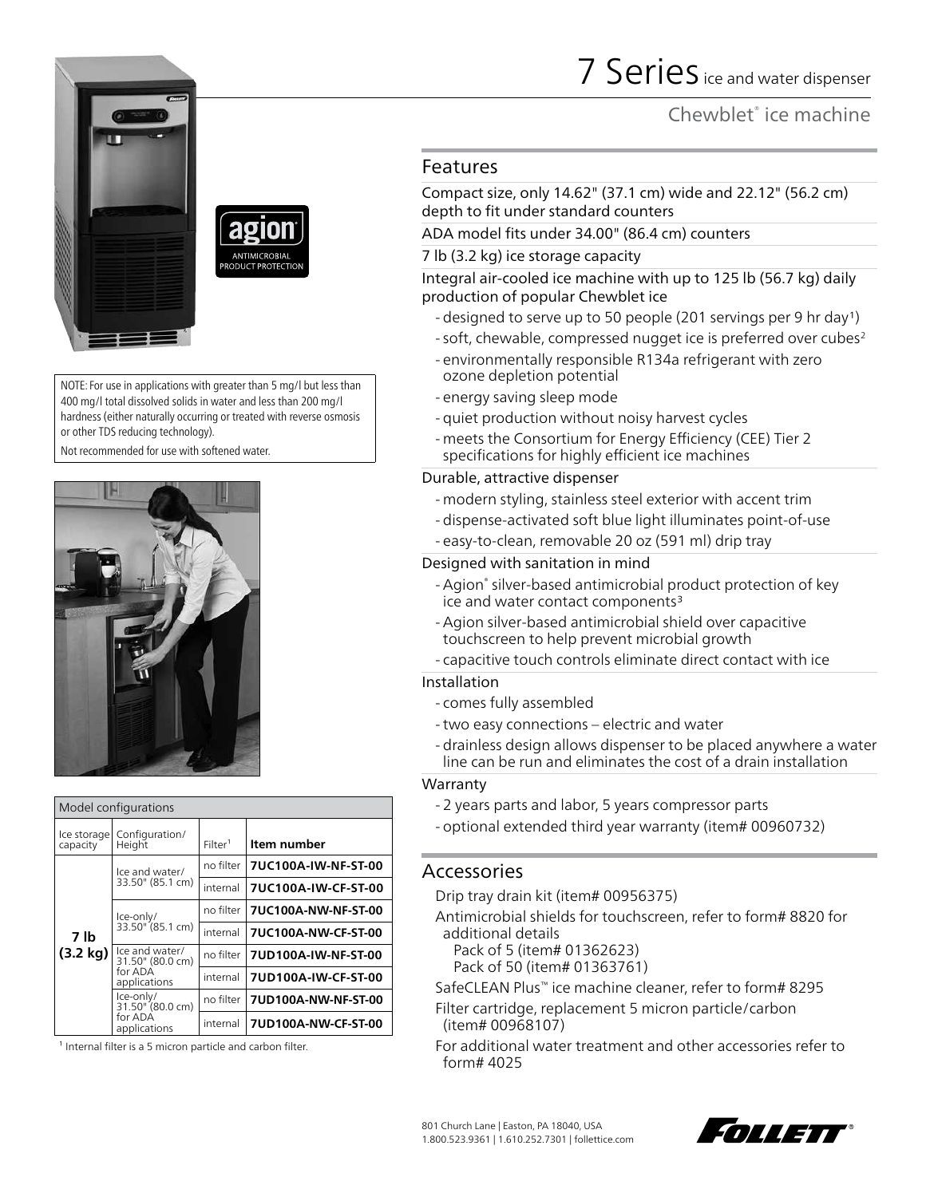





NOTE: For use in applications with greater than 5 mg/l but less than 400 mg/l total dissolved solids in water and less than 200 mg/l hardness (either naturally occurring or treated with reverse osmosis or other TDS reducing technology).

Not recommended for use with softened water.



| Model configurations    |                                                               |                     |                     |  |
|-------------------------|---------------------------------------------------------------|---------------------|---------------------|--|
| Ice storage<br>capacity | Configuration/<br>Height                                      | Filter <sup>1</sup> | Item number         |  |
| 7 lb<br>(3.2 kg)        | Ice and water/<br>33.50" (85.1 cm)                            | no filter           | 7UC100A-IW-NF-ST-00 |  |
|                         |                                                               | internal            | 7UC100A-IW-CF-ST-00 |  |
|                         | Ice-only/<br>33.50" (85.1 cm)                                 | no filter           | 7UC100A-NW-NF-ST-00 |  |
|                         |                                                               | internal            | 7UC100A-NW-CF-ST-00 |  |
|                         | Ice and water/<br>31.50" (80.0 cm)<br>for ADA<br>applications | no filter           | 7UD100A-IW-NF-ST-00 |  |
|                         |                                                               | internal            | 7UD100A-IW-CF-ST-00 |  |
|                         | Ice-only/<br>31.50" (80.0 cm)<br>for ADA<br>applications      | no filter           | 7UD100A-NW-NF-ST-00 |  |
|                         |                                                               | internal            | 7UD100A-NW-CF-ST-00 |  |

 $1$  Internal filter is a 5 micron particle and carbon filter.

# Features

Compact size, only 14.62" (37.1 cm) wide and 22.12" (56.2 cm) depth to fit under standard counters

## ADA model fits under 34.00" (86.4 cm) counters

#### 7 lb (3.2 kg) ice storage capacity

Integral air-cooled ice machine with up to 125 lb (56.7 kg) daily production of popular Chewblet ice

- designed to serve up to 50 people (201 servings per 9 hr day<sup>1</sup>)
- soft, chewable, compressed nugget ice is preferred over cubes<sup>2</sup>
- environmentally responsible R134a refrigerant with zero ozone depletion potential
- energy saving sleep mode
- quiet production without noisy harvest cycles
- meets the Consortium for Energy Efficiency (CEE) Tier 2 specifications for highly efficient ice machines

#### Durable, attractive dispenser

- modern styling, stainless steel exterior with accent trim
- dispense-activated soft blue light illuminates point-of-use
- easy-to-clean, removable 20 oz (591 ml) drip tray

#### Designed with sanitation in mind

- -Agion® silver-based antimicrobial product protection of key ice and water contact components<sup>3</sup>
- -Agion silver-based antimicrobial shield over capacitive touchscreen to help prevent microbial growth
- capacitive touch controls eliminate direct contact with ice

### Installation

- comes fully assembled
- -two easy connections electric and water
- drainless design allows dispenser to be placed anywhere a water line can be run and eliminates the cost of a drain installation

### **Warranty**

- 2 years parts and labor, 5 years compressor parts
- optional extended third year warranty (item# 00960732)

# Accessories

Drip tray drain kit (item# 00956375)

- Antimicrobial shields for touchscreen, refer to form# 8820 for additional details
	- Pack of 5 (item# 01362623)
	- Pack of 50 (item# 01363761)
- SafeCLEAN Plus™ ice machine cleaner, refer to form# 8295
- Filter cartridge, replacement 5 micron particle/carbon (item# 00968107)
- For additional water treatment and other accessories refer to form# 4025